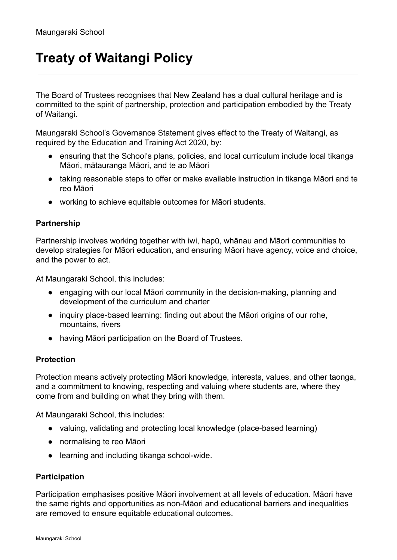## **Treaty of Waitangi Policy**

The Board of Trustees recognises that New Zealand has a dual cultural heritage and is committed to the spirit of partnership, protection and participation embodied by the Treaty of Waitangi.

Maungaraki School's Governance Statement gives effect to the Treaty of Waitangi, as required by the Education and Training Act 2020, by:

- ensuring that the School's plans, policies, and local curriculum include local tikanga Māori, mātauranga Māori, and te ao Māori
- taking reasonable steps to offer or make available instruction in tikanga Māori and te reo Māori
- working to achieve equitable outcomes for Māori students.

## **Partnership**

Partnership involves working together with iwi, hapū, whānau and Māori communities to develop strategies for Māori education, and ensuring Māori have agency, voice and choice, and the power to act.

At Maungaraki School, this includes:

- engaging with our local Māori community in the decision-making, planning and development of the curriculum and charter
- inquiry place-based learning: finding out about the Māori origins of our rohe, mountains, rivers
- having Māori participation on the Board of Trustees.

## **Protection**

Protection means actively protecting Māori knowledge, interests, values, and other taonga, and a commitment to knowing, respecting and valuing where students are, where they come from and building on what they bring with them.

At Maungaraki School, this includes:

- valuing, validating and protecting local knowledge (place-based learning)
- normalising te reo Māori
- learning and including tikanga school-wide.

## **Participation**

Participation emphasises positive Māori involvement at all levels of education. Māori have the same rights and opportunities as non-Māori and educational barriers and inequalities are removed to ensure equitable educational outcomes.